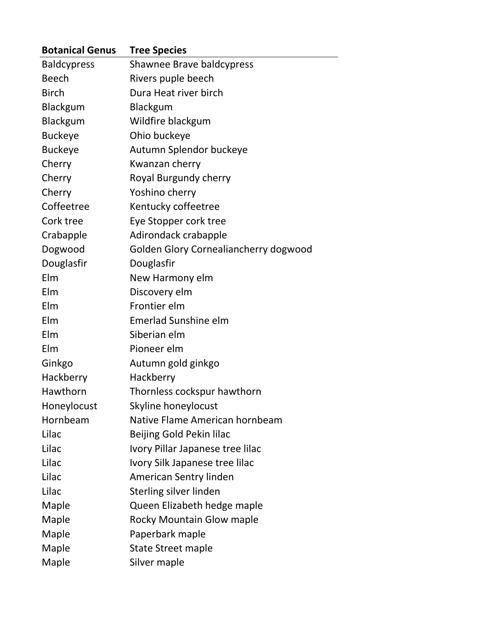| <b>Botanical Genus</b> | <b>Tree Species</b>                   |
|------------------------|---------------------------------------|
| <b>Baldcypress</b>     | Shawnee Brave baldcypress             |
| <b>Beech</b>           | Rivers puple beech                    |
| <b>Birch</b>           | Dura Heat river birch                 |
| Blackgum               | Blackgum                              |
| Blackgum               | Wildfire blackgum                     |
| <b>Buckeye</b>         | Ohio buckeye                          |
| <b>Buckeye</b>         | Autumn Splendor buckeye               |
| Cherry                 | Kwanzan cherry                        |
| Cherry                 | Royal Burgundy cherry                 |
| Cherry                 | Yoshino cherry                        |
| Coffeetree             | Kentucky coffeetree                   |
| Cork tree              | Eye Stopper cork tree                 |
| Crabapple              | Adirondack crabapple                  |
| Dogwood                | Golden Glory Cornealiancherry dogwood |
| Douglasfir             | Douglasfir                            |
| Elm                    | New Harmony elm                       |
| Elm                    | Discovery elm                         |
| Elm                    | Frontier elm                          |
| Elm                    | <b>Emerlad Sunshine elm</b>           |
| Elm                    | Siberian elm                          |
| Elm                    | Pioneer elm                           |
| Ginkgo                 | Autumn gold ginkgo                    |
| Hackberry              | Hackberry                             |
| Hawthorn               | Thornless cockspur hawthorn           |
| Honeylocust            | Skyline honeylocust                   |
| Hornbeam               | Native Flame American hornbeam        |
| Lilac                  | Beijing Gold Pekin lilac              |
| Lilac                  | Ivory Pillar Japanese tree lilac      |
| Lilac                  | Ivory Silk Japanese tree lilac        |
| Lilac                  | <b>American Sentry linden</b>         |
| Lilac                  | Sterling silver linden                |
| Maple                  | Queen Elizabeth hedge maple           |
| Maple                  | <b>Rocky Mountain Glow maple</b>      |
| Maple                  | Paperbark maple                       |
| Maple                  | <b>State Street maple</b>             |
| Maple                  | Silver maple                          |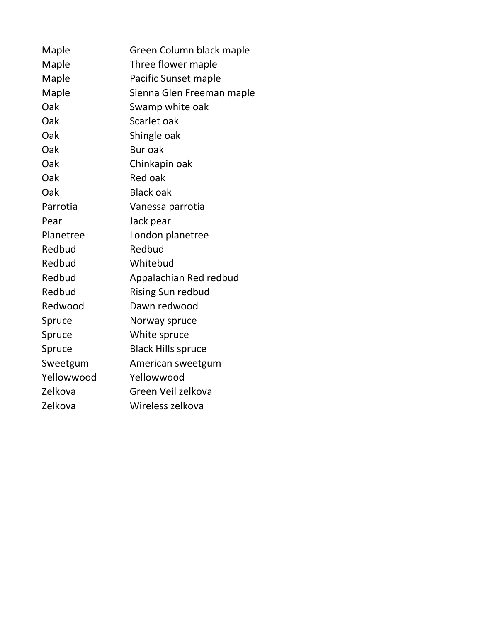| Maple      | Green Column black maple  |  |
|------------|---------------------------|--|
| Maple      | Three flower maple        |  |
| Maple      | Pacific Sunset maple      |  |
| Maple      | Sienna Glen Freeman maple |  |
| Oak        | Swamp white oak           |  |
| Oak        | Scarlet oak               |  |
| Oak        | Shingle oak               |  |
| Oak        | Bur oak                   |  |
| Oak        | Chinkapin oak             |  |
| Oak        | Red oak                   |  |
| Oak        | <b>Black oak</b>          |  |
| Parrotia   | Vanessa parrotia          |  |
| Pear       | Jack pear                 |  |
| Planetree  | London planetree          |  |
| Redbud     | Redbud                    |  |
| Redbud     | Whitebud                  |  |
| Redbud     | Appalachian Red redbud    |  |
| Redbud     | <b>Rising Sun redbud</b>  |  |
| Redwood    | Dawn redwood              |  |
| Spruce     | Norway spruce             |  |
| Spruce     | White spruce              |  |
| Spruce     | <b>Black Hills spruce</b> |  |
| Sweetgum   | American sweetgum         |  |
| Yellowwood | Yellowwood                |  |
| Zelkova    | Green Veil zelkova        |  |
| Zelkova    | Wireless zelkova          |  |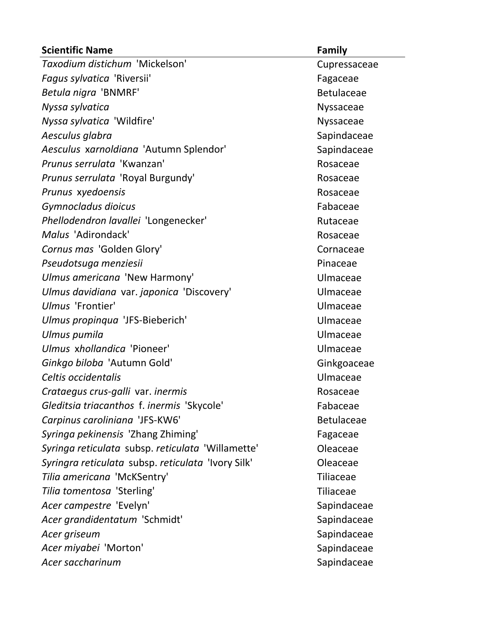| <b>Scientific Name</b>                             | <b>Family</b>     |
|----------------------------------------------------|-------------------|
| Taxodium distichum 'Mickelson'                     | Cupressaceae      |
| Fagus sylvatica 'Riversii'                         | Fagaceae          |
| Betula nigra 'BNMRF'                               | <b>Betulaceae</b> |
| Nyssa sylvatica                                    | Nyssaceae         |
| Nyssa sylvatica 'Wildfire'                         | <b>Nyssaceae</b>  |
| Aesculus glabra                                    | Sapindaceae       |
| Aesculus xarnoldiana 'Autumn Splendor'             | Sapindaceae       |
| Prunus serrulata 'Kwanzan'                         | Rosaceae          |
| Prunus serrulata 'Royal Burgundy'                  | Rosaceae          |
| Prunus xyedoensis                                  | Rosaceae          |
| Gymnocladus dioicus                                | Fabaceae          |
| Phellodendron lavallei 'Longenecker'               | Rutaceae          |
| Malus 'Adirondack'                                 | Rosaceae          |
| Cornus mas 'Golden Glory'                          | Cornaceae         |
| Pseudotsuga menziesii                              | Pinaceae          |
| Ulmus americana 'New Harmony'                      | Ulmaceae          |
| Ulmus davidiana var. japonica 'Discovery'          | Ulmaceae          |
| Ulmus 'Frontier'                                   | Ulmaceae          |
| Ulmus propinqua 'JFS-Bieberich'                    | Ulmaceae          |
| Ulmus pumila                                       | Ulmaceae          |
| Ulmus xhollandica 'Pioneer'                        | Ulmaceae          |
| Ginkgo biloba 'Autumn Gold'                        | Ginkgoaceae       |
| Celtis occidentalis                                | Ulmaceae          |
| Crataegus crus-galli var. inermis                  | Rosaceae          |
| Gleditsia triacanthos f. inermis 'Skycole'         | Fabaceae          |
| Carpinus caroliniana 'JFS-KW6'                     | <b>Betulaceae</b> |
| Syringa pekinensis 'Zhang Zhiming'                 | Fagaceae          |
| Syringa reticulata subsp. reticulata 'Willamette'  | Oleaceae          |
| Syringra reticulata subsp. reticulata 'Ivory Silk' | Oleaceae          |
| Tilia americana 'McKSentry'                        | Tiliaceae         |
| Tilia tomentosa 'Sterling'                         | <b>Tiliaceae</b>  |
| Acer campestre 'Evelyn'                            | Sapindaceae       |
| Acer grandidentatum 'Schmidt'                      | Sapindaceae       |
| Acer griseum                                       | Sapindaceae       |
| Acer miyabei 'Morton'                              | Sapindaceae       |
| Acer saccharinum                                   | Sapindaceae       |